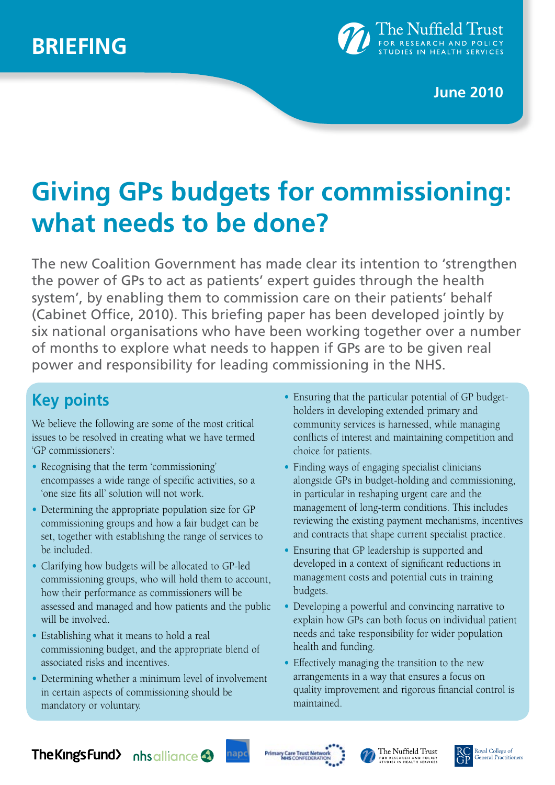

### **June 2010**

# **Giving GPs budgets for commissioning: what needs to be done?**

The new Coalition Government has made clear its intention to 'strengthen the power of GPs to act as patients' expert guides through the health system', by enabling them to commission care on their patients' behalf (Cabinet Office, 2010). This briefing paper has been developed jointly by six national organisations who have been working together over a number of months to explore what needs to happen if GPs are to be given real power and responsibility for leading commissioning in the NHS.

# **Key points**

We believe the following are some of the most critical issues to be resolved in creating what we have termed 'GP commissioners':

- **•** Recognising that the term 'commissioning' encompasses a wide range of specific activities, so a 'one size fits all' solution will not work.
- **•** Determining the appropriate population size for GP commissioning groups and how a fair budget can be set, together with establishing the range of services to be included.
- **•** Clarifying how budgets will be allocated to GP-led commissioning groups, who will hold them to account, how their performance as commissioners will be assessed and managed and how patients and the public will be involved.
- **•** Establishing what it means to hold a real commissioning budget, and the appropriate blend of associated risks and incentives.
- **•** Determining whether a minimum level of involvement in certain aspects of commissioning should be mandatory or voluntary.
- **•** Ensuring that the particular potential of GP budgetholders in developing extended primary and community services is harnessed, while managing conflicts of interest and maintaining competition and choice for patients.
- Finding ways of engaging specialist clinicians alongside GPs in budget-holding and commissioning, in particular in reshaping urgent care and the management of long-term conditions. This includes reviewing the existing payment mechanisms, incentives and contracts that shape current specialist practice.
- **•** Ensuring that GP leadership is supported and developed in a context of significant reductions in management costs and potential cuts in training budgets.
- **•** Developing a powerful and convincing narrative to explain how GPs can both focus on individual patient needs and take responsibility for wider population health and funding.
- **•** Effectively managing the transition to the new arrangements in a way that ensures a focus on quality improvement and rigorous financial control is maintained.

### **The Kings Fund** his alliance







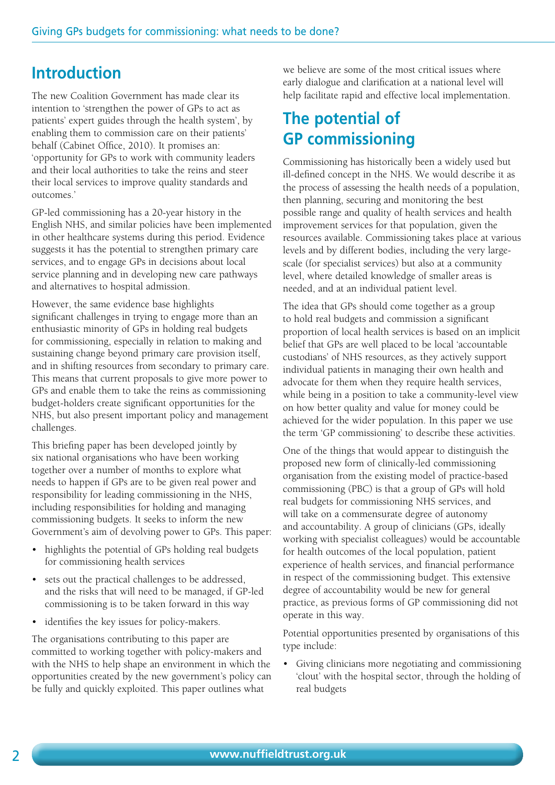### **Introduction**

The new Coalition Government has made clear its intention to 'strengthen the power of GPs to act as patients' expert guides through the health system', by enabling them to commission care on their patients' behalf (Cabinet Office, 2010). It promises an: 'opportunity for GPs to work with community leaders and their local authorities to take the reins and steer their local services to improve quality standards and outcomes.'

GP-led commissioning has a 20-year history in the English NHS, and similar policies have been implemented in other healthcare systems during this period. Evidence suggests it has the potential to strengthen primary care services, and to engage GPs in decisions about local service planning and in developing new care pathways and alternatives to hospital admission.

However, the same evidence base highlights significant challenges in trying to engage more than an enthusiastic minority of GPs in holding real budgets for commissioning, especially in relation to making and sustaining change beyond primary care provision itself, and in shifting resources from secondary to primary care. This means that current proposals to give more power to GPs and enable them to take the reins as commissioning budget-holders create significant opportunities for the NHS, but also present important policy and management challenges.

This briefing paper has been developed jointly by six national organisations who have been working together over a number of months to explore what needs to happen if GPs are to be given real power and responsibility for leading commissioning in the NHS, including responsibilities for holding and managing commissioning budgets. It seeks to inform the new Government's aim of devolving power to GPs. This paper:

- highlights the potential of GPs holding real budgets for commissioning health services
- sets out the practical challenges to be addressed, and the risks that will need to be managed, if GP-led commissioning is to be taken forward in this way
- identifies the key issues for policy-makers.

The organisations contributing to this paper are committed to working together with policy-makers and with the NHS to help shape an environment in which the opportunities created by the new government's policy can be fully and quickly exploited. This paper outlines what

we believe are some of the most critical issues where early dialogue and clarification at a national level will help facilitate rapid and effective local implementation.

### **The potential of GP commissioning**

Commissioning has historically been a widely used but ill-defined concept in the NHS. We would describe it as the process of assessing the health needs of a population, then planning, securing and monitoring the best possible range and quality of health services and health improvement services for that population, given the resources available. Commissioning takes place at various levels and by different bodies, including the very largescale (for specialist services) but also at a community level, where detailed knowledge of smaller areas is needed, and at an individual patient level.

The idea that GPs should come together as a group to hold real budgets and commission a significant proportion of local health services is based on an implicit belief that GPs are well placed to be local 'accountable custodians' of NHS resources, as they actively support individual patients in managing their own health and advocate for them when they require health services, while being in a position to take a community-level view on how better quality and value for money could be achieved for the wider population. In this paper we use the term 'GP commissioning' to describe these activities.

One of the things that would appear to distinguish the proposed new form of clinically-led commissioning organisation from the existing model of practice-based commissioning (PBC) is that a group of GPs will hold real budgets for commissioning NHS services, and will take on a commensurate degree of autonomy and accountability. A group of clinicians (GPs, ideally working with specialist colleagues) would be accountable for health outcomes of the local population, patient experience of health services, and financial performance in respect of the commissioning budget. This extensive degree of accountability would be new for general practice, as previous forms of GP commissioning did not operate in this way.

Potential opportunities presented by organisations of this type include:

• Giving clinicians more negotiating and commissioning 'clout' with the hospital sector, through the holding of real budgets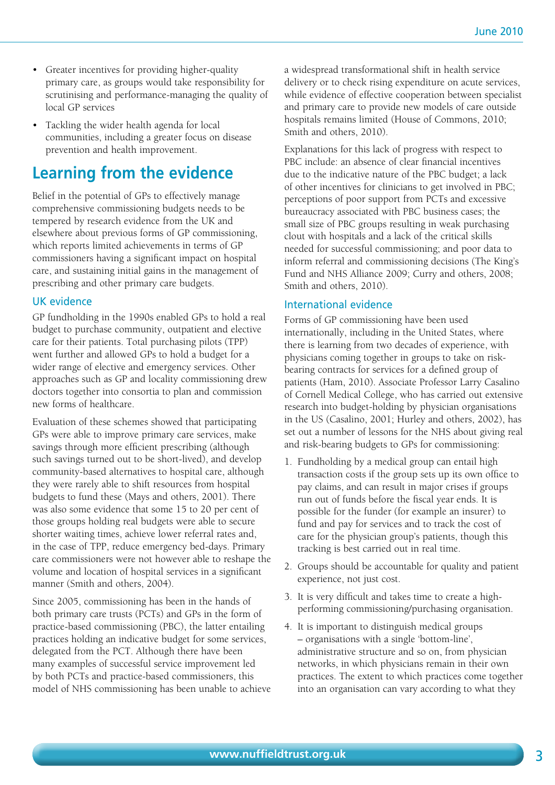- Greater incentives for providing higher-quality primary care, as groups would take responsibility for scrutinising and performance-managing the quality of local GP services
- Tackling the wider health agenda for local communities, including a greater focus on disease prevention and health improvement.

### **Learning from the evidence**

Belief in the potential of GPs to effectively manage comprehensive commissioning budgets needs to be tempered by research evidence from the UK and elsewhere about previous forms of GP commissioning, which reports limited achievements in terms of GP commissioners having a significant impact on hospital care, and sustaining initial gains in the management of prescribing and other primary care budgets.

#### UK evidence

GP fundholding in the 1990s enabled GPs to hold a real budget to purchase community, outpatient and elective care for their patients. Total purchasing pilots (TPP) went further and allowed GPs to hold a budget for a wider range of elective and emergency services. Other approaches such as GP and locality commissioning drew doctors together into consortia to plan and commission new forms of healthcare.

Evaluation of these schemes showed that participating GPs were able to improve primary care services, make savings through more efficient prescribing (although such savings turned out to be short-lived), and develop community-based alternatives to hospital care, although they were rarely able to shift resources from hospital budgets to fund these (Mays and others, 2001). There was also some evidence that some 15 to 20 per cent of those groups holding real budgets were able to secure shorter waiting times, achieve lower referral rates and, in the case of TPP, reduce emergency bed-days. Primary care commissioners were not however able to reshape the volume and location of hospital services in a significant manner (Smith and others, 2004).

Since 2005, commissioning has been in the hands of both primary care trusts (PCTs) and GPs in the form of practice-based commissioning (PBC), the latter entailing practices holding an indicative budget for some services, delegated from the PCT. Although there have been many examples of successful service improvement led by both PCTs and practice-based commissioners, this model of NHS commissioning has been unable to achieve a widespread transformational shift in health service delivery or to check rising expenditure on acute services, while evidence of effective cooperation between specialist and primary care to provide new models of care outside hospitals remains limited (House of Commons, 2010; Smith and others, 2010).

Explanations for this lack of progress with respect to PBC include: an absence of clear financial incentives due to the indicative nature of the PBC budget; a lack of other incentives for clinicians to get involved in PBC; perceptions of poor support from PCTs and excessive bureaucracy associated with PBC business cases; the small size of PBC groups resulting in weak purchasing clout with hospitals and a lack of the critical skills needed for successful commissioning; and poor data to inform referral and commissioning decisions (The King's Fund and NHS Alliance 2009; Curry and others, 2008; Smith and others, 2010).

#### International evidence

Forms of GP commissioning have been used internationally, including in the United States, where there is learning from two decades of experience, with physicians coming together in groups to take on riskbearing contracts for services for a defined group of patients (Ham, 2010). Associate Professor Larry Casalino of Cornell Medical College, who has carried out extensive research into budget-holding by physician organisations in the US (Casalino, 2001; Hurley and others, 2002), has set out a number of lessons for the NHS about giving real and risk-bearing budgets to GPs for commissioning:

- 1. Fundholding by a medical group can entail high transaction costs if the group sets up its own office to pay claims, and can result in major crises if groups run out of funds before the fiscal year ends. It is possible for the funder (for example an insurer) to fund and pay for services and to track the cost of care for the physician group's patients, though this tracking is best carried out in real time.
- 2. Groups should be accountable for quality and patient experience, not just cost.
- 3. It is very difficult and takes time to create a highperforming commissioning/purchasing organisation.
- 4. It is important to distinguish medical groups – organisations with a single 'bottom-line', administrative structure and so on, from physician networks, in which physicians remain in their own practices. The extent to which practices come together into an organisation can vary according to what they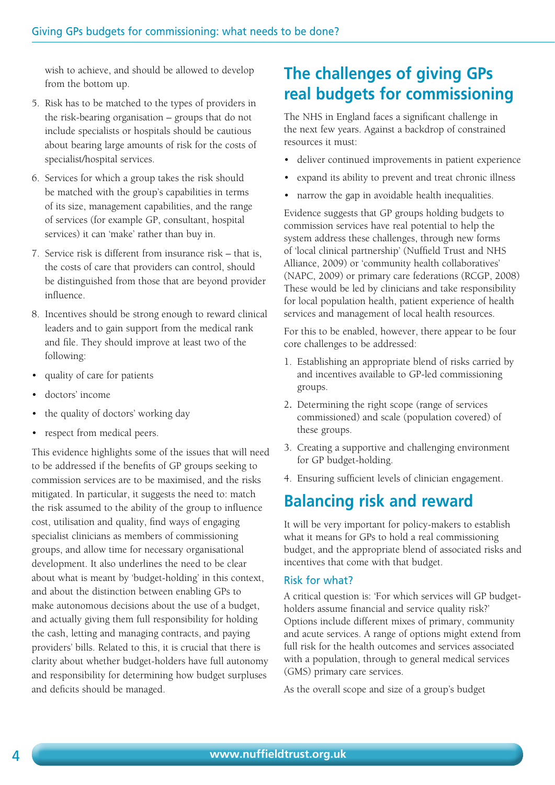wish to achieve, and should be allowed to develop from the bottom up.

- 5. Risk has to be matched to the types of providers in the risk-bearing organisation – groups that do not include specialists or hospitals should be cautious about bearing large amounts of risk for the costs of specialist/hospital services.
- 6. Services for which a group takes the risk should be matched with the group's capabilities in terms of its size, management capabilities, and the range of services (for example GP, consultant, hospital services) it can 'make' rather than buy in.
- 7. Service risk is different from insurance risk that is, the costs of care that providers can control, should be distinguished from those that are beyond provider influence.
- 8. Incentives should be strong enough to reward clinical leaders and to gain support from the medical rank and file. They should improve at least two of the following:
- quality of care for patients
- doctors' income
- the quality of doctors' working day
- respect from medical peers.

This evidence highlights some of the issues that will need to be addressed if the benefits of GP groups seeking to commission services are to be maximised, and the risks mitigated. In particular, it suggests the need to: match the risk assumed to the ability of the group to influence cost, utilisation and quality, find ways of engaging specialist clinicians as members of commissioning groups, and allow time for necessary organisational development. It also underlines the need to be clear about what is meant by 'budget-holding' in this context, and about the distinction between enabling GPs to make autonomous decisions about the use of a budget, and actually giving them full responsibility for holding the cash, letting and managing contracts, and paying providers' bills. Related to this, it is crucial that there is clarity about whether budget-holders have full autonomy and responsibility for determining how budget surpluses and deficits should be managed.

# **The challenges of giving GPs real budgets for commissioning**

The NHS in England faces a significant challenge in the next few years. Against a backdrop of constrained resources it must:

- deliver continued improvements in patient experience
- expand its ability to prevent and treat chronic illness
- narrow the gap in avoidable health inequalities.

Evidence suggests that GP groups holding budgets to commission services have real potential to help the system address these challenges, through new forms of 'local clinical partnership' (Nuffield Trust and NHS Alliance, 2009) or 'community health collaboratives' (NAPC, 2009) or primary care federations (RCGP, 2008) These would be led by clinicians and take responsibility for local population health, patient experience of health services and management of local health resources.

For this to be enabled, however, there appear to be four core challenges to be addressed:

- 1. Establishing an appropriate blend of risks carried by and incentives available to GP-led commissioning groups.
- 2**.** Determining the right scope (range of services commissioned) and scale (population covered) of these groups.
- 3. Creating a supportive and challenging environment for GP budget-holding.
- 4. Ensuring sufficient levels of clinician engagement.

## **Balancing risk and reward**

It will be very important for policy-makers to establish what it means for GPs to hold a real commissioning budget, and the appropriate blend of associated risks and incentives that come with that budget.

#### Risk for what?

A critical question is: 'For which services will GP budgetholders assume financial and service quality risk?' Options include different mixes of primary, community and acute services. A range of options might extend from full risk for the health outcomes and services associated with a population, through to general medical services (GMS) primary care services.

As the overall scope and size of a group's budget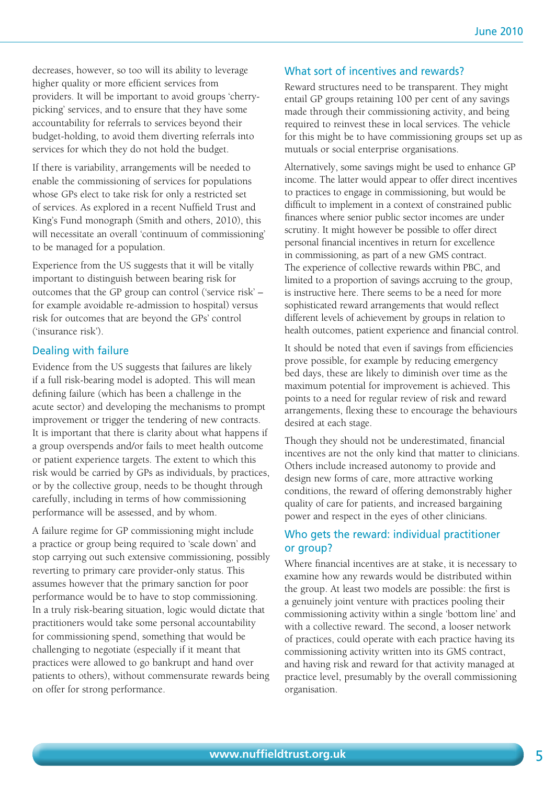decreases, however, so too will its ability to leverage higher quality or more efficient services from providers. It will be important to avoid groups 'cherrypicking' services, and to ensure that they have some accountability for referrals to services beyond their budget-holding, to avoid them diverting referrals into services for which they do not hold the budget.

If there is variability, arrangements will be needed to enable the commissioning of services for populations whose GPs elect to take risk for only a restricted set of services. As explored in a recent Nuffield Trust and King's Fund monograph (Smith and others, 2010), this will necessitate an overall 'continuum of commissioning' to be managed for a population.

Experience from the US suggests that it will be vitally important to distinguish between bearing risk for outcomes that the GP group can control ('service risk' – for example avoidable re-admission to hospital) versus risk for outcomes that are beyond the GPs' control ('insurance risk').

#### Dealing with failure

Evidence from the US suggests that failures are likely if a full risk-bearing model is adopted. This will mean defining failure (which has been a challenge in the acute sector) and developing the mechanisms to prompt improvement or trigger the tendering of new contracts. It is important that there is clarity about what happens if a group overspends and/or fails to meet health outcome or patient experience targets. The extent to which this risk would be carried by GPs as individuals, by practices, or by the collective group, needs to be thought through carefully, including in terms of how commissioning performance will be assessed, and by whom.

A failure regime for GP commissioning might include a practice or group being required to 'scale down' and stop carrying out such extensive commissioning, possibly reverting to primary care provider-only status. This assumes however that the primary sanction for poor performance would be to have to stop commissioning. In a truly risk-bearing situation, logic would dictate that practitioners would take some personal accountability for commissioning spend, something that would be challenging to negotiate (especially if it meant that practices were allowed to go bankrupt and hand over patients to others), without commensurate rewards being on offer for strong performance.

#### What sort of incentives and rewards?

Reward structures need to be transparent. They might entail GP groups retaining 100 per cent of any savings made through their commissioning activity, and being required to reinvest these in local services. The vehicle for this might be to have commissioning groups set up as mutuals or social enterprise organisations.

Alternatively, some savings might be used to enhance GP income. The latter would appear to offer direct incentives to practices to engage in commissioning, but would be difficult to implement in a context of constrained public finances where senior public sector incomes are under scrutiny. It might however be possible to offer direct personal financial incentives in return for excellence in commissioning, as part of a new GMS contract. The experience of collective rewards within PBC, and limited to a proportion of savings accruing to the group, is instructive here. There seems to be a need for more sophisticated reward arrangements that would reflect different levels of achievement by groups in relation to health outcomes, patient experience and financial control.

It should be noted that even if savings from efficiencies prove possible, for example by reducing emergency bed days, these are likely to diminish over time as the maximum potential for improvement is achieved. This points to a need for regular review of risk and reward arrangements, flexing these to encourage the behaviours desired at each stage.

Though they should not be underestimated, financial incentives are not the only kind that matter to clinicians. Others include increased autonomy to provide and design new forms of care, more attractive working conditions, the reward of offering demonstrably higher quality of care for patients, and increased bargaining power and respect in the eyes of other clinicians.

#### Who gets the reward: individual practitioner or group?

Where financial incentives are at stake, it is necessary to examine how any rewards would be distributed within the group. At least two models are possible: the first is a genuinely joint venture with practices pooling their commissioning activity within a single 'bottom line' and with a collective reward. The second, a looser network of practices, could operate with each practice having its commissioning activity written into its GMS contract, and having risk and reward for that activity managed at practice level, presumably by the overall commissioning organisation.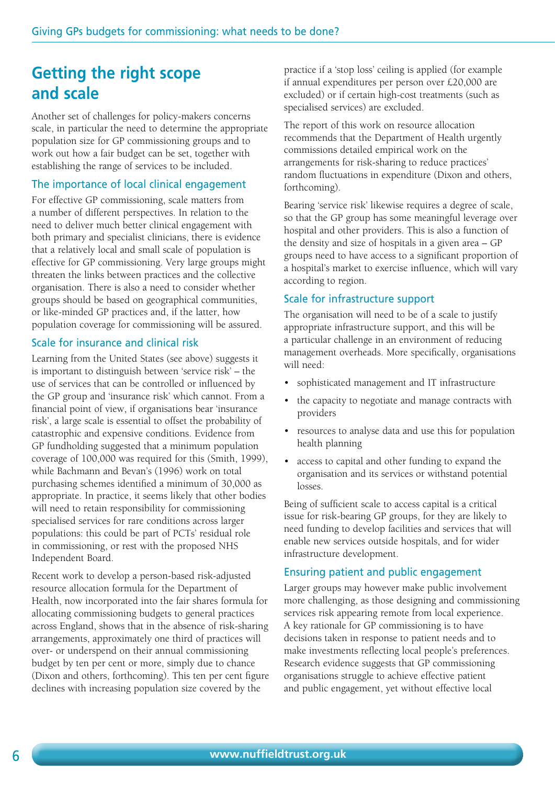### **Getting the right scope and scale**

Another set of challenges for policy-makers concerns scale, in particular the need to determine the appropriate population size for GP commissioning groups and to work out how a fair budget can be set, together with establishing the range of services to be included.

#### The importance of local clinical engagement

For effective GP commissioning, scale matters from a number of different perspectives. In relation to the need to deliver much better clinical engagement with both primary and specialist clinicians, there is evidence that a relatively local and small scale of population is effective for GP commissioning. Very large groups might threaten the links between practices and the collective organisation. There is also a need to consider whether groups should be based on geographical communities, or like-minded GP practices and, if the latter, how population coverage for commissioning will be assured.

#### Scale for insurance and clinical risk

Learning from the United States (see above) suggests it is important to distinguish between 'service risk' – the use of services that can be controlled or influenced by the GP group and 'insurance risk' which cannot. From a financial point of view, if organisations bear 'insurance risk', a large scale is essential to offset the probability of catastrophic and expensive conditions. Evidence from GP fundholding suggested that a minimum population coverage of 100,000 was required for this (Smith, 1999), while Bachmann and Bevan's (1996) work on total purchasing schemes identified a minimum of 30,000 as appropriate. In practice, it seems likely that other bodies will need to retain responsibility for commissioning specialised services for rare conditions across larger populations: this could be part of PCTs' residual role in commissioning, or rest with the proposed NHS Independent Board.

Recent work to develop a person-based risk-adjusted resource allocation formula for the Department of Health, now incorporated into the fair shares formula for allocating commissioning budgets to general practices across England, shows that in the absence of risk-sharing arrangements, approximately one third of practices will over- or underspend on their annual commissioning budget by ten per cent or more, simply due to chance (Dixon and others, forthcoming). This ten per cent figure declines with increasing population size covered by the

practice if a 'stop loss' ceiling is applied (for example if annual expenditures per person over £20,000 are excluded) or if certain high-cost treatments (such as specialised services) are excluded.

The report of this work on resource allocation recommends that the Department of Health urgently commissions detailed empirical work on the arrangements for risk-sharing to reduce practices' random fluctuations in expenditure (Dixon and others, forthcoming).

Bearing 'service risk' likewise requires a degree of scale, so that the GP group has some meaningful leverage over hospital and other providers. This is also a function of the density and size of hospitals in a given area – GP groups need to have access to a significant proportion of a hospital's market to exercise influence, which will vary according to region.

#### Scale for infrastructure support

The organisation will need to be of a scale to justify appropriate infrastructure support, and this will be a particular challenge in an environment of reducing management overheads. More specifically, organisations will need:

- sophisticated management and IT infrastructure
- the capacity to negotiate and manage contracts with providers
- resources to analyse data and use this for population health planning
- access to capital and other funding to expand the organisation and its services or withstand potential losses.

Being of sufficient scale to access capital is a critical issue for risk-bearing GP groups, for they are likely to need funding to develop facilities and services that will enable new services outside hospitals, and for wider infrastructure development.

#### Ensuring patient and public engagement

Larger groups may however make public involvement more challenging, as those designing and commissioning services risk appearing remote from local experience. A key rationale for GP commissioning is to have decisions taken in response to patient needs and to make investments reflecting local people's preferences. Research evidence suggests that GP commissioning organisations struggle to achieve effective patient and public engagement, yet without effective local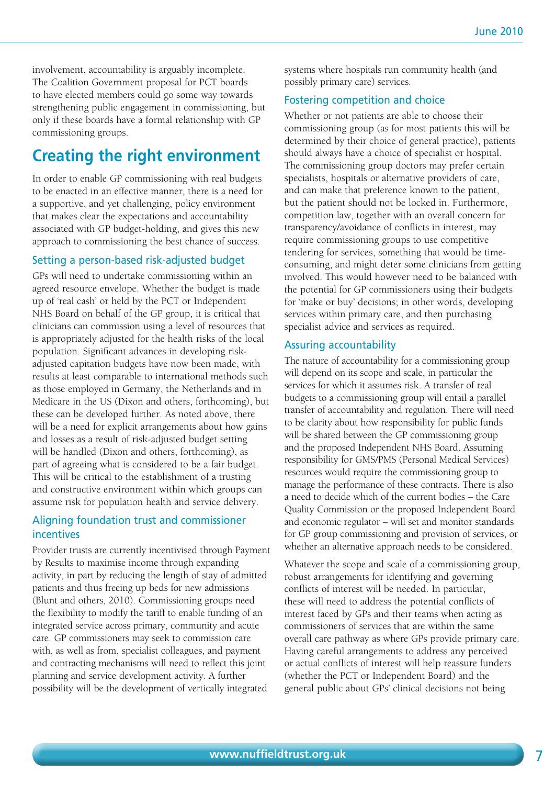involvement, accountability is arguably incomplete. The Coalition Government proposal for PCT boards to have elected members could go some way towards strengthening public engagement in commissioning, but only if these boards have a formal relationship with GP commissioning groups.

# **Creating the right environment**

In order to enable GP commissioning with real budgets to be enacted in an effective manner, there is a need for a supportive, and yet challenging, policy environment that makes clear the expectations and accountability associated with GP budget-holding, and gives this new approach to commissioning the best chance of success.

#### Setting a person-based risk-adjusted budget

GPs will need to undertake commissioning within an agreed resource envelope. Whether the budget is made up of 'real cash' or held by the PCT or Independent NHS Board on behalf of the GP group, it is critical that clinicians can commission using a level of resources that is appropriately adjusted for the health risks of the local population. Significant advances in developing riskadjusted capitation budgets have now been made, with results at least comparable to international methods such as those employed in Germany, the Netherlands and in Medicare in the US (Dixon and others, forthcoming), but these can be developed further. As noted above, there will be a need for explicit arrangements about how gains and losses as a result of risk-adjusted budget setting will be handled (Dixon and others, forthcoming), as part of agreeing what is considered to be a fair budget. This will be critical to the establishment of a trusting and constructive environment within which groups can assume risk for population health and service delivery.

#### Aligning foundation trust and commissioner incentives

Provider trusts are currently incentivised through Payment by Results to maximise income through expanding activity, in part by reducing the length of stay of admitted patients and thus freeing up beds for new admissions (Blunt and others, 2010). Commissioning groups need the flexibility to modify the tariff to enable funding of an integrated service across primary, community and acute care. GP commissioners may seek to commission care with, as well as from, specialist colleagues, and payment and contracting mechanisms will need to reflect this joint planning and service development activity. A further possibility will be the development of vertically integrated

systems where hospitals run community health (and possibly primary care) services.

#### Fostering competition and choice

Whether or not patients are able to choose their commissioning group (as for most patients this will be determined by their choice of general practice), patients should always have a choice of specialist or hospital. The commissioning group doctors may prefer certain specialists, hospitals or alternative providers of care, and can make that preference known to the patient, but the patient should not be locked in. Furthermore, competition law, together with an overall concern for transparency/avoidance of conflicts in interest, may require commissioning groups to use competitive tendering for services, something that would be timeconsuming, and might deter some clinicians from getting involved. This would however need to be balanced with the potential for GP commissioners using their budgets for 'make or buy' decisions; in other words, developing services within primary care, and then purchasing specialist advice and services as required.

#### Assuring accountability

The nature of accountability for a commissioning group will depend on its scope and scale, in particular the services for which it assumes risk. A transfer of real budgets to a commissioning group will entail a parallel transfer of accountability and regulation. There will need to be clarity about how responsibility for public funds will be shared between the GP commissioning group and the proposed Independent NHS Board. Assuming responsibility for GMS/PMS (Personal Medical Services) resources would require the commissioning group to manage the performance of these contracts. There is also a need to decide which of the current bodies – the Care Quality Commission or the proposed Independent Board and economic regulator – will set and monitor standards for GP group commissioning and provision of services, or whether an alternative approach needs to be considered.

Whatever the scope and scale of a commissioning group, robust arrangements for identifying and governing conflicts of interest will be needed. In particular, these will need to address the potential conflicts of interest faced by GPs and their teams when acting as commissioners of services that are within the same overall care pathway as where GPs provide primary care. Having careful arrangements to address any perceived or actual conflicts of interest will help reassure funders (whether the PCT or Independent Board) and the general public about GPs' clinical decisions not being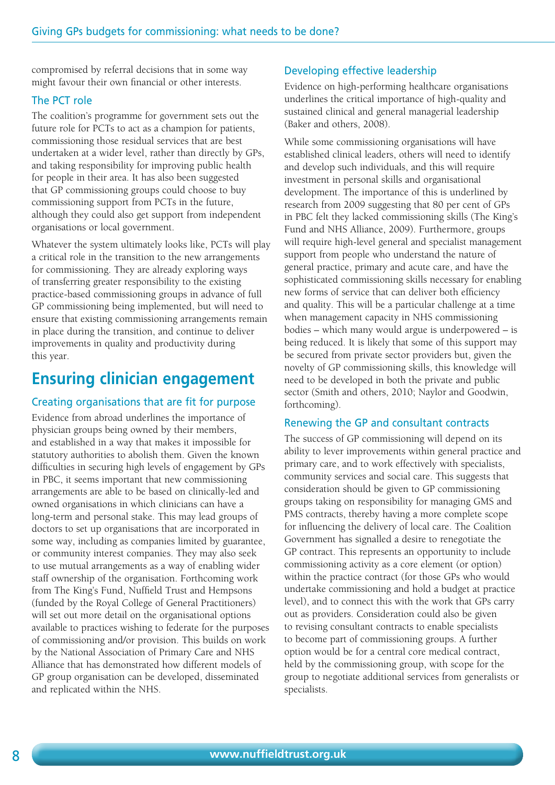compromised by referral decisions that in some way might favour their own financial or other interests.

#### The PCT role

The coalition's programme for government sets out the future role for PCTs to act as a champion for patients, commissioning those residual services that are best undertaken at a wider level, rather than directly by GPs, and taking responsibility for improving public health for people in their area. It has also been suggested that GP commissioning groups could choose to buy commissioning support from PCTs in the future, although they could also get support from independent organisations or local government.

Whatever the system ultimately looks like, PCTs will play a critical role in the transition to the new arrangements for commissioning. They are already exploring ways of transferring greater responsibility to the existing practice-based commissioning groups in advance of full GP commissioning being implemented, but will need to ensure that existing commissioning arrangements remain in place during the transition, and continue to deliver improvements in quality and productivity during this year.

### **Ensuring clinician engagement**

#### Creating organisations that are fit for purpose

Evidence from abroad underlines the importance of physician groups being owned by their members, and established in a way that makes it impossible for statutory authorities to abolish them. Given the known difficulties in securing high levels of engagement by GPs in PBC, it seems important that new commissioning arrangements are able to be based on clinically-led and owned organisations in which clinicians can have a long-term and personal stake. This may lead groups of doctors to set up organisations that are incorporated in some way, including as companies limited by guarantee, or community interest companies. They may also seek to use mutual arrangements as a way of enabling wider staff ownership of the organisation. Forthcoming work from The King's Fund, Nuffield Trust and Hempsons (funded by the Royal College of General Practitioners) will set out more detail on the organisational options available to practices wishing to federate for the purposes of commissioning and/or provision. This builds on work by the National Association of Primary Care and NHS Alliance that has demonstrated how different models of GP group organisation can be developed, disseminated and replicated within the NHS.

#### Developing effective leadership

Evidence on high-performing healthcare organisations underlines the critical importance of high-quality and sustained clinical and general managerial leadership (Baker and others, 2008).

While some commissioning organisations will have established clinical leaders, others will need to identify and develop such individuals, and this will require investment in personal skills and organisational development. The importance of this is underlined by research from 2009 suggesting that 80 per cent of GPs in PBC felt they lacked commissioning skills (The King's Fund and NHS Alliance, 2009). Furthermore, groups will require high-level general and specialist management support from people who understand the nature of general practice, primary and acute care, and have the sophisticated commissioning skills necessary for enabling new forms of service that can deliver both efficiency and quality. This will be a particular challenge at a time when management capacity in NHS commissioning bodies – which many would argue is underpowered – is being reduced. It is likely that some of this support may be secured from private sector providers but, given the novelty of GP commissioning skills, this knowledge will need to be developed in both the private and public sector (Smith and others, 2010; Naylor and Goodwin, forthcoming).

#### Renewing the GP and consultant contracts

The success of GP commissioning will depend on its ability to lever improvements within general practice and primary care, and to work effectively with specialists, community services and social care. This suggests that consideration should be given to GP commissioning groups taking on responsibility for managing GMS and PMS contracts, thereby having a more complete scope for influencing the delivery of local care. The Coalition Government has signalled a desire to renegotiate the GP contract. This represents an opportunity to include commissioning activity as a core element (or option) within the practice contract (for those GPs who would undertake commissioning and hold a budget at practice level), and to connect this with the work that GPs carry out as providers. Consideration could also be given to revising consultant contracts to enable specialists to become part of commissioning groups. A further option would be for a central core medical contract, held by the commissioning group, with scope for the group to negotiate additional services from generalists or specialists.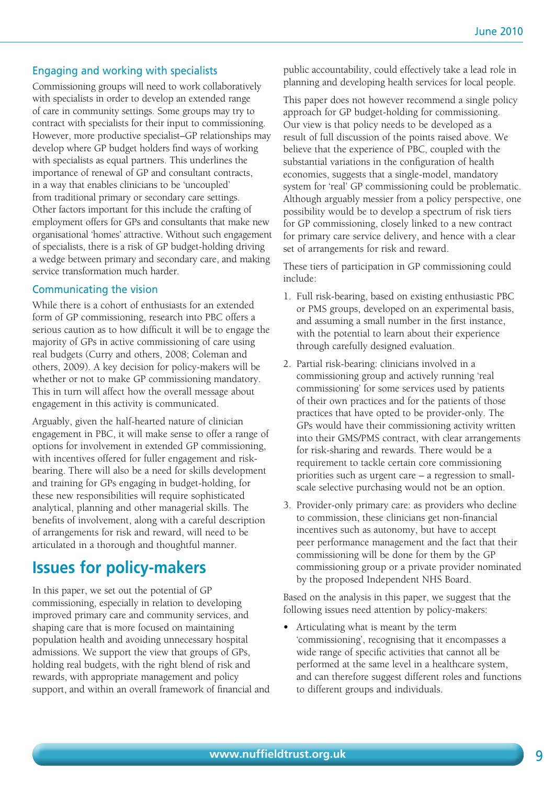#### Engaging and working with specialists

Commissioning groups will need to work collaboratively with specialists in order to develop an extended range of care in community settings. Some groups may try to contract with specialists for their input to commissioning. However, more productive specialist–GP relationships may develop where GP budget holders find ways of working with specialists as equal partners. This underlines the importance of renewal of GP and consultant contracts, in a way that enables clinicians to be 'uncoupled' from traditional primary or secondary care settings. Other factors important for this include the crafting of employment offers for GPs and consultants that make new organisational 'homes' attractive. Without such engagement of specialists, there is a risk of GP budget-holding driving a wedge between primary and secondary care, and making service transformation much harder.

#### Communicating the vision

While there is a cohort of enthusiasts for an extended form of GP commissioning, research into PBC offers a serious caution as to how difficult it will be to engage the majority of GPs in active commissioning of care using real budgets (Curry and others, 2008; Coleman and others, 2009). A key decision for policy-makers will be whether or not to make GP commissioning mandatory. This in turn will affect how the overall message about engagement in this activity is communicated.

Arguably, given the half-hearted nature of clinician engagement in PBC, it will make sense to offer a range of options for involvement in extended GP commissioning, with incentives offered for fuller engagement and riskbearing. There will also be a need for skills development and training for GPs engaging in budget-holding, for these new responsibilities will require sophisticated analytical, planning and other managerial skills. The benefits of involvement, along with a careful description of arrangements for risk and reward, will need to be articulated in a thorough and thoughtful manner.

### **Issues for policy-makers**

In this paper, we set out the potential of GP commissioning, especially in relation to developing improved primary care and community services, and shaping care that is more focused on maintaining population health and avoiding unnecessary hospital admissions. We support the view that groups of GPs, holding real budgets, with the right blend of risk and rewards, with appropriate management and policy support, and within an overall framework of financial and public accountability, could effectively take a lead role in planning and developing health services for local people.

This paper does not however recommend a single policy approach for GP budget-holding for commissioning. Our view is that policy needs to be developed as a result of full discussion of the points raised above. We believe that the experience of PBC, coupled with the substantial variations in the configuration of health economies, suggests that a single-model, mandatory system for 'real' GP commissioning could be problematic. Although arguably messier from a policy perspective, one possibility would be to develop a spectrum of risk tiers for GP commissioning, closely linked to a new contract for primary care service delivery, and hence with a clear set of arrangements for risk and reward.

These tiers of participation in GP commissioning could include:

- 1. Full risk-bearing, based on existing enthusiastic PBC or PMS groups, developed on an experimental basis, and assuming a small number in the first instance, with the potential to learn about their experience through carefully designed evaluation.
- 2. Partial risk-bearing: clinicians involved in a commissioning group and actively running 'real commissioning' for some services used by patients of their own practices and for the patients of those practices that have opted to be provider-only. The GPs would have their commissioning activity written into their GMS/PMS contract, with clear arrangements for risk-sharing and rewards. There would be a requirement to tackle certain core commissioning priorities such as urgent care – a regression to smallscale selective purchasing would not be an option.
- 3. Provider-only primary care: as providers who decline to commission, these clinicians get non-financial incentives such as autonomy, but have to accept peer performance management and the fact that their commissioning will be done for them by the GP commissioning group or a private provider nominated by the proposed Independent NHS Board.

Based on the analysis in this paper, we suggest that the following issues need attention by policy-makers:

**•** Articulating what is meant by the term 'commissioning', recognising that it encompasses a wide range of specific activities that cannot all be performed at the same level in a healthcare system, and can therefore suggest different roles and functions to different groups and individuals.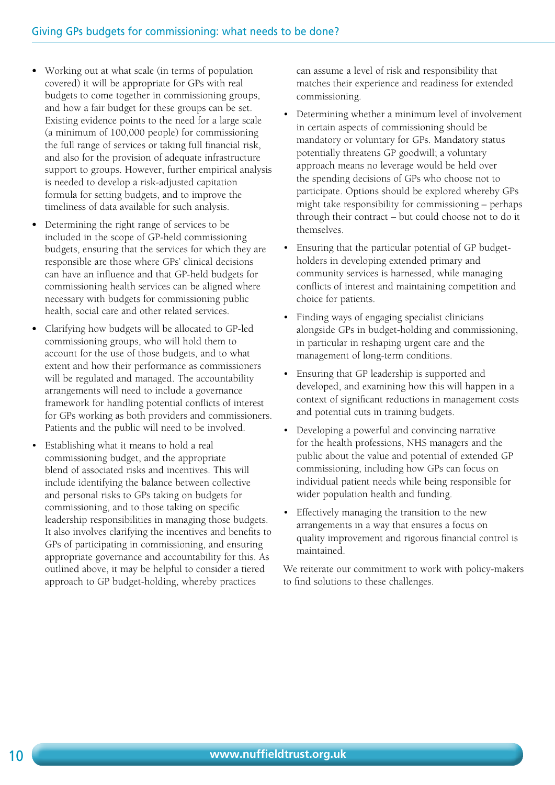- **•** Working out at what scale (in terms of population covered) it will be appropriate for GPs with real budgets to come together in commissioning groups, and how a fair budget for these groups can be set. Existing evidence points to the need for a large scale (a minimum of 100,000 people) for commissioning the full range of services or taking full financial risk, and also for the provision of adequate infrastructure support to groups. However, further empirical analysis is needed to develop a risk-adjusted capitation formula for setting budgets, and to improve the timeliness of data available for such analysis.
- **•** Determining the right range of services to be included in the scope of GP-held commissioning budgets, ensuring that the services for which they are responsible are those where GPs' clinical decisions can have an influence and that GP-held budgets for commissioning health services can be aligned where necessary with budgets for commissioning public health, social care and other related services.
- **•** Clarifying how budgets will be allocated to GP-led commissioning groups, who will hold them to account for the use of those budgets, and to what extent and how their performance as commissioners will be regulated and managed. The accountability arrangements will need to include a governance framework for handling potential conflicts of interest for GPs working as both providers and commissioners. Patients and the public will need to be involved.
- Establishing what it means to hold a real commissioning budget, and the appropriate blend of associated risks and incentives. This will include identifying the balance between collective and personal risks to GPs taking on budgets for commissioning, and to those taking on specific leadership responsibilities in managing those budgets. It also involves clarifying the incentives and benefits to GPs of participating in commissioning, and ensuring appropriate governance and accountability for this. As outlined above, it may be helpful to consider a tiered approach to GP budget-holding, whereby practices

can assume a level of risk and responsibility that matches their experience and readiness for extended commissioning.

- Determining whether a minimum level of involvement in certain aspects of commissioning should be mandatory or voluntary for GPs. Mandatory status potentially threatens GP goodwill; a voluntary approach means no leverage would be held over the spending decisions of GPs who choose not to participate. Options should be explored whereby GPs might take responsibility for commissioning – perhaps through their contract – but could choose not to do it themselves.
- Ensuring that the particular potential of GP budgetholders in developing extended primary and community services is harnessed, while managing conflicts of interest and maintaining competition and choice for patients.
- Finding ways of engaging specialist clinicians alongside GPs in budget-holding and commissioning, in particular in reshaping urgent care and the management of long-term conditions.
- Ensuring that GP leadership is supported and developed, and examining how this will happen in a context of significant reductions in management costs and potential cuts in training budgets.
- Developing a powerful and convincing narrative for the health professions, NHS managers and the public about the value and potential of extended GP commissioning, including how GPs can focus on individual patient needs while being responsible for wider population health and funding.
- Effectively managing the transition to the new arrangements in a way that ensures a focus on quality improvement and rigorous financial control is maintained.

We reiterate our commitment to work with policy-makers to find solutions to these challenges.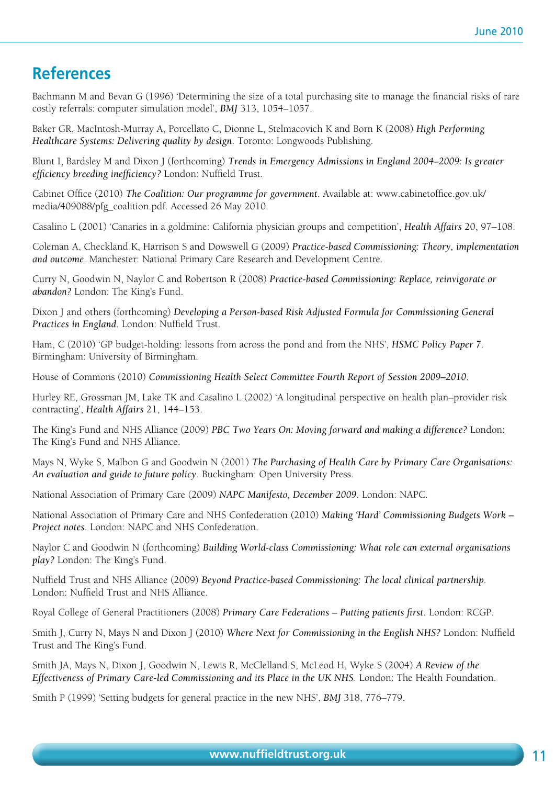### **References**

Bachmann M and Bevan G (1996) 'Determining the size of a total purchasing site to manage the financial risks of rare costly referrals: computer simulation model', *BMJ* 313, 1054–1057.

Baker GR, MacIntosh-Murray A, Porcellato C, Dionne L, Stelmacovich K and Born K (2008) *High Performing Healthcare Systems: Delivering quality by design*. Toronto: Longwoods Publishing.

Blunt I, Bardsley M and Dixon J (forthcoming) *Trends in Emergency Admissions in England 2004–2009: Is greater efficiency breeding inefficiency?* London: Nuffield Trust.

Cabinet Office (2010) *The Coalition: Our programme for government*. Available at: www.cabinetoffice.gov.uk/ media/409088/pfg\_coalition.pdf. Accessed 26 May 2010.

Casalino L (2001) 'Canaries in a goldmine: California physician groups and competition', *Health Affairs* 20, 97–108.

Coleman A, Checkland K, Harrison S and Dowswell G (2009) *Practice-based Commissioning: Theory, implementation and outcome*. Manchester: National Primary Care Research and Development Centre.

Curry N, Goodwin N, Naylor C and Robertson R (2008) *Practice-based Commissioning: Replace, reinvigorate or abandon?* London: The King's Fund.

Dixon J and others (forthcoming) *Developing a Person-based Risk Adjusted Formula for Commissioning General Practices in England*. London: Nuffield Trust.

Ham, C (2010) 'GP budget-holding: lessons from across the pond and from the NHS', *HSMC Policy Paper 7*. Birmingham: University of Birmingham.

House of Commons (2010) *Commissioning Health Select Committee Fourth Report of Session 2009–2010*.

Hurley RE, Grossman JM, Lake TK and Casalino L (2002) 'A longitudinal perspective on health plan–provider risk contracting', *Health Affairs* 21, 144–153.

The King's Fund and NHS Alliance (2009) *PBC Two Years On: Moving forward and making a difference?* London: The King's Fund and NHS Alliance.

Mays N, Wyke S, Malbon G and Goodwin N (2001) *The Purchasing of Health Care by Primary Care Organisations: An evaluation and guide to future policy*. Buckingham: Open University Press.

National Association of Primary Care (2009) *NAPC Manifesto, December 2009*. London: NAPC.

National Association of Primary Care and NHS Confederation (2010) *Making 'Hard' Commissioning Budgets Work – Project notes*. London: NAPC and NHS Confederation.

Naylor C and Goodwin N (forthcoming) *Building World-class Commissioning: What role can external organisations play?* London: The King's Fund.

Nuffield Trust and NHS Alliance (2009) *Beyond Practice-based Commissioning: The local clinical partnership*. London: Nuffield Trust and NHS Alliance.

Royal College of General Practitioners (2008) *Primary Care Federations – Putting patients first*. London: RCGP.

Smith J, Curry N, Mays N and Dixon J (2010) *Where Next for Commissioning in the English NHS?* London: Nuffield Trust and The King's Fund.

Smith JA, Mays N, Dixon J, Goodwin N, Lewis R, McClelland S, McLeod H, Wyke S (2004) *A Review of the Effectiveness of Primary Care-led Commissioning and its Place in the UK NHS*. London: The Health Foundation.

Smith P (1999) 'Setting budgets for general practice in the new NHS', *BMJ* 318, 776–779.